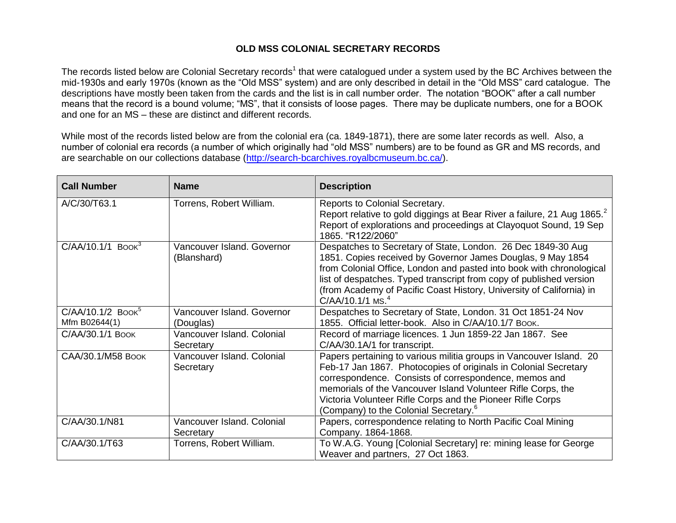## **OLD MSS COLONIAL SECRETARY RECORDS**

The records listed below are Colonial Secretary records<sup>1</sup> that were catalogued under a system used by the BC Archives between the mid-1930s and early 1970s (known as the "Old MSS" system) and are only described in detail in the "Old MSS" card catalogue. The descriptions have mostly been taken from the cards and the list is in call number order. The notation "BOOK" after a call number means that the record is a bound volume; "MS", that it consists of loose pages. There may be duplicate numbers, one for a BOOK and one for an MS – these are distinct and different records.

While most of the records listed below are from the colonial era (ca. 1849-1871), there are some later records as well. Also, a number of colonial era records (a number of which originally had "old MSS" numbers) are to be found as GR and MS records, and are searchable on our collections database [\(http://search-bcarchives.royalbcmuseum.bc.ca/\)](http://search-bcarchives.royalbcmuseum.bc.ca/).

| <b>Call Number</b>                               | <b>Name</b>                               | <b>Description</b>                                                                                                                                                                                                                                                                                                                                                                   |
|--------------------------------------------------|-------------------------------------------|--------------------------------------------------------------------------------------------------------------------------------------------------------------------------------------------------------------------------------------------------------------------------------------------------------------------------------------------------------------------------------------|
| A/C/30/T63.1                                     | Torrens, Robert William.                  | Reports to Colonial Secretary.<br>Report relative to gold diggings at Bear River a failure, 21 Aug 1865.<br>Report of explorations and proceedings at Clayoquot Sound, 19 Sep<br>1865. "R122/2060"                                                                                                                                                                                   |
| $C/AA/10.1/1$ Book <sup>3</sup>                  | Vancouver Island, Governor<br>(Blanshard) | Despatches to Secretary of State, London. 26 Dec 1849-30 Aug<br>1851. Copies received by Governor James Douglas, 9 May 1854<br>from Colonial Office, London and pasted into book with chronological<br>list of despatches. Typed transcript from copy of published version<br>(from Academy of Pacific Coast History, University of California) in<br>$C/AA/10.1/1$ MS. <sup>4</sup> |
| $C/AA/10.1/2$ Book <sup>5</sup><br>Mfm B02644(1) | Vancouver Island. Governor<br>(Douglas)   | Despatches to Secretary of State, London. 31 Oct 1851-24 Nov<br>1855. Official letter-book. Also in C/AA/10.1/7 Воок.                                                                                                                                                                                                                                                                |
| C/AA/30.1/1 BOOK                                 | Vancouver Island. Colonial<br>Secretary   | Record of marriage licences. 1 Jun 1859-22 Jan 1867. See<br>C/AA/30.1A/1 for transcript.                                                                                                                                                                                                                                                                                             |
| CAA/30.1/M58 BOOK                                | Vancouver Island. Colonial<br>Secretary   | Papers pertaining to various militia groups in Vancouver Island. 20<br>Feb-17 Jan 1867. Photocopies of originals in Colonial Secretary<br>correspondence. Consists of correspondence, memos and<br>memorials of the Vancouver Island Volunteer Rifle Corps, the<br>Victoria Volunteer Rifle Corps and the Pioneer Rifle Corps<br>(Company) to the Colonial Secretary. <sup>6</sup>   |
| C/AA/30.1/N81                                    | Vancouver Island. Colonial<br>Secretary   | Papers, correspondence relating to North Pacific Coal Mining<br>Company. 1864-1868.                                                                                                                                                                                                                                                                                                  |
| C/AA/30.1/T63                                    | Torrens, Robert William.                  | To W.A.G. Young [Colonial Secretary] re: mining lease for George<br>Weaver and partners, 27 Oct 1863.                                                                                                                                                                                                                                                                                |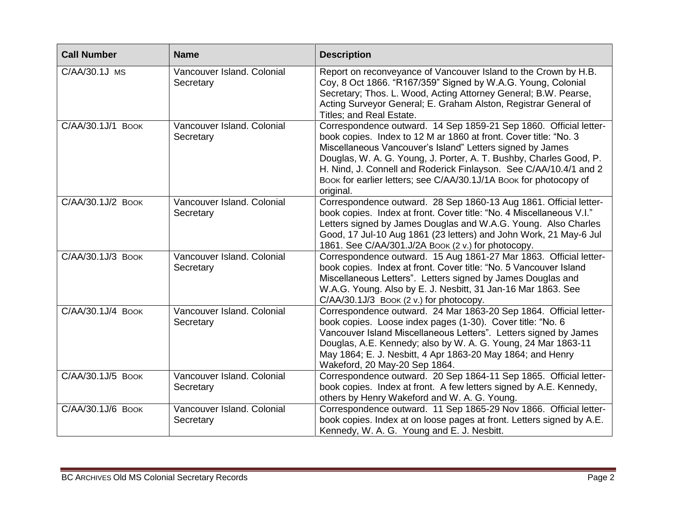| <b>Call Number</b> | <b>Name</b>                             | <b>Description</b>                                                                                                                                                                                                                                                                                                                                                                                                              |
|--------------------|-----------------------------------------|---------------------------------------------------------------------------------------------------------------------------------------------------------------------------------------------------------------------------------------------------------------------------------------------------------------------------------------------------------------------------------------------------------------------------------|
| C/AA/30.1J MS      | Vancouver Island. Colonial<br>Secretary | Report on reconveyance of Vancouver Island to the Crown by H.B.<br>Coy, 8 Oct 1866. "R167/359" Signed by W.A.G. Young, Colonial<br>Secretary; Thos. L. Wood, Acting Attorney General; B.W. Pearse,<br>Acting Surveyor General; E. Graham Alston, Registrar General of<br>Titles; and Real Estate.                                                                                                                               |
| C/AA/30.1J/1 BOOK  | Vancouver Island. Colonial<br>Secretary | Correspondence outward. 14 Sep 1859-21 Sep 1860. Official letter-<br>book copies. Index to 12 M ar 1860 at front. Cover title: "No. 3<br>Miscellaneous Vancouver's Island" Letters signed by James<br>Douglas, W. A. G. Young, J. Porter, A. T. Bushby, Charles Good, P.<br>H. Nind, J. Connell and Roderick Finlayson. See C/AA/10.4/1 and 2<br>Book for earlier letters; see C/AA/30.1J/1A Book for photocopy of<br>original. |
| C/AA/30.1J/2 BOOK  | Vancouver Island. Colonial<br>Secretary | Correspondence outward. 28 Sep 1860-13 Aug 1861. Official letter-<br>book copies. Index at front. Cover title: "No. 4 Miscellaneous V.I."<br>Letters signed by James Douglas and W.A.G. Young. Also Charles<br>Good, 17 Jul-10 Aug 1861 (23 letters) and John Work, 21 May-6 Jul<br>1861. See C/AA/301.J/2A Book (2 v.) for photocopy.                                                                                          |
| C/AA/30.1J/3 BOOK  | Vancouver Island. Colonial<br>Secretary | Correspondence outward. 15 Aug 1861-27 Mar 1863. Official letter-<br>book copies. Index at front. Cover title: "No. 5 Vancouver Island<br>Miscellaneous Letters". Letters signed by James Douglas and<br>W.A.G. Young. Also by E. J. Nesbitt, 31 Jan-16 Mar 1863. See<br>C/AA/30.1J/3 BOOK (2 v.) for photocopy.                                                                                                                |
| C/AA/30.1J/4 BOOK  | Vancouver Island. Colonial<br>Secretary | Correspondence outward. 24 Mar 1863-20 Sep 1864. Official letter-<br>book copies. Loose index pages (1-30). Cover title: "No. 6<br>Vancouver Island Miscellaneous Letters". Letters signed by James<br>Douglas, A.E. Kennedy; also by W. A. G. Young, 24 Mar 1863-11<br>May 1864; E. J. Nesbitt, 4 Apr 1863-20 May 1864; and Henry<br>Wakeford, 20 May-20 Sep 1864.                                                             |
| C/AA/30.1J/5 BOOK  | Vancouver Island. Colonial<br>Secretary | Correspondence outward. 20 Sep 1864-11 Sep 1865. Official letter-<br>book copies. Index at front. A few letters signed by A.E. Kennedy,<br>others by Henry Wakeford and W. A. G. Young.                                                                                                                                                                                                                                         |
| C/AA/30.1J/6 BOOK  | Vancouver Island. Colonial<br>Secretary | Correspondence outward. 11 Sep 1865-29 Nov 1866. Official letter-<br>book copies. Index at on loose pages at front. Letters signed by A.E.<br>Kennedy, W. A. G. Young and E. J. Nesbitt.                                                                                                                                                                                                                                        |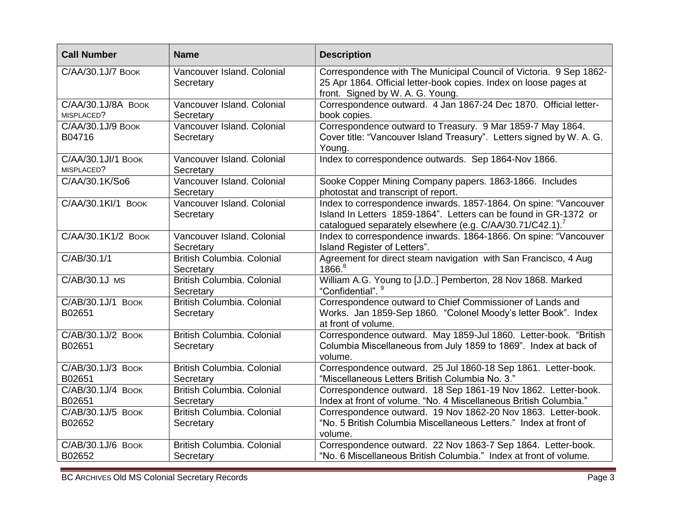| <b>Call Number</b>                            | <b>Name</b>                                    | <b>Description</b>                                                                                                                                                                                            |
|-----------------------------------------------|------------------------------------------------|---------------------------------------------------------------------------------------------------------------------------------------------------------------------------------------------------------------|
| C/AA/30.1J/7 BOOK                             | Vancouver Island. Colonial<br>Secretary        | Correspondence with The Municipal Council of Victoria. 9 Sep 1862-<br>25 Apr 1864. Official letter-book copies. Index on loose pages at<br>front. Signed by W. A. G. Young.                                   |
| $\overline{C/AA/30.1J/8A}$ BOOK<br>MISPLACED? | Vancouver Island, Colonial<br>Secretary        | Correspondence outward. 4 Jan 1867-24 Dec 1870. Official letter-<br>book copies.                                                                                                                              |
| C/AA/30.1J/9 BOOK<br>B04716                   | Vancouver Island. Colonial<br>Secretary        | Correspondence outward to Treasury. 9 Mar 1859-7 May 1864.<br>Cover title: "Vancouver Island Treasury". Letters signed by W. A. G.<br>Young.                                                                  |
| C/AA/30.1JI/1 BOOK<br>MISPLACED?              | Vancouver Island. Colonial<br>Secretary        | Index to correspondence outwards. Sep 1864-Nov 1866.                                                                                                                                                          |
| C/AA/30.1K/So6                                | Vancouver Island. Colonial<br>Secretary        | Sooke Copper Mining Company papers. 1863-1866. Includes<br>photostat and transcript of report.                                                                                                                |
| C/AA/30.1KI/1 BOOK                            | Vancouver Island. Colonial<br>Secretary        | Index to correspondence inwards. 1857-1864. On spine: "Vancouver<br>Island In Letters 1859-1864". Letters can be found in GR-1372 or<br>catalogued separately elsewhere (e.g. C/AA/30.71/C42.1). <sup>7</sup> |
| C/AA/30.1K1/2 BOOK                            | Vancouver Island. Colonial<br>Secretary        | Index to correspondence inwards. 1864-1866. On spine: "Vancouver<br>Island Register of Letters".                                                                                                              |
| C/AB/30.1/1                                   | British Columbia. Colonial<br>Secretary        | Agreement for direct steam navigation with San Francisco, 4 Aug<br>1866. <sup>8</sup>                                                                                                                         |
| C/AB/30.1J MS                                 | British Columbia. Colonial<br>Secretary        | William A.G. Young to [J.D] Pemberton, 28 Nov 1868. Marked<br>"Confidential". 9                                                                                                                               |
| C/AB/30.1J/1 BOOK<br>B02651                   | British Columbia, Colonial<br>Secretary        | Correspondence outward to Chief Commissioner of Lands and<br>Works. Jan 1859-Sep 1860. "Colonel Moody's letter Book". Index<br>at front of volume.                                                            |
| C/AB/30.1J/2 BOOK<br>B02651                   | <b>British Columbia, Colonial</b><br>Secretary | Correspondence outward. May 1859-Jul 1860. Letter-book. "British<br>Columbia Miscellaneous from July 1859 to 1869". Index at back of<br>volume.                                                               |
| C/AB/30.1J/3 BOOK<br>B02651                   | <b>British Columbia, Colonial</b><br>Secretary | Correspondence outward. 25 Jul 1860-18 Sep 1861. Letter-book.<br>"Miscellaneous Letters British Columbia No. 3."                                                                                              |
| C/AB/30.1J/4 BOOK<br>B02651                   | British Columbia, Colonial<br>Secretary        | Correspondence outward. 18 Sep 1861-19 Nov 1862. Letter-book.<br>Index at front of volume. "No. 4 Miscellaneous British Columbia."                                                                            |
| C/AB/30.1J/5 BOOK<br>B02652                   | <b>British Columbia, Colonial</b><br>Secretary | Correspondence outward. 19 Nov 1862-20 Nov 1863. Letter-book.<br>"No. 5 British Columbia Miscellaneous Letters." Index at front of<br>volume.                                                                 |
| C/AB/30.1J/6 BOOK<br>B02652                   | <b>British Columbia, Colonial</b><br>Secretary | Correspondence outward. 22 Nov 1863-7 Sep 1864. Letter-book.<br>"No. 6 Miscellaneous British Columbia." Index at front of volume.                                                                             |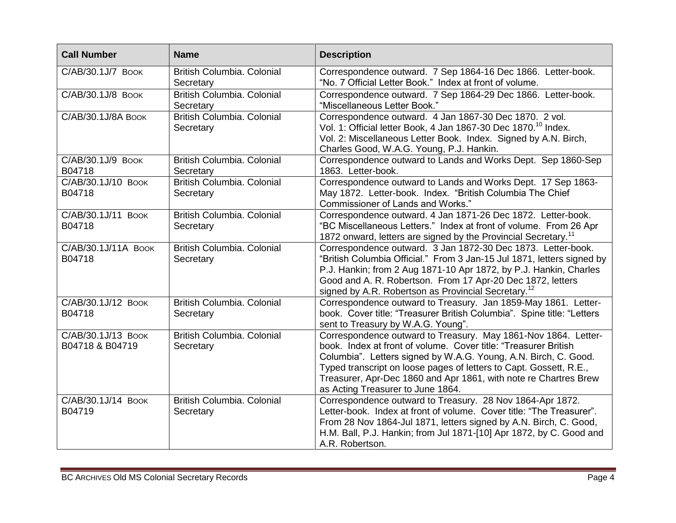| <b>Call Number</b>                    | <b>Name</b>                                    | <b>Description</b>                                                                                                                                                                                                                                                                                                                                                                  |
|---------------------------------------|------------------------------------------------|-------------------------------------------------------------------------------------------------------------------------------------------------------------------------------------------------------------------------------------------------------------------------------------------------------------------------------------------------------------------------------------|
| C/AB/30.1J/7 BOOK                     | British Columbia. Colonial<br>Secretary        | Correspondence outward. 7 Sep 1864-16 Dec 1866. Letter-book.<br>"No. 7 Official Letter Book." Index at front of volume.                                                                                                                                                                                                                                                             |
| C/AB/30.1J/8 BOOK                     | <b>British Columbia. Colonial</b><br>Secretary | Correspondence outward. 7 Sep 1864-29 Dec 1866. Letter-book.<br>"Miscellaneous Letter Book."                                                                                                                                                                                                                                                                                        |
| С/АВ/30.1J/8А Воок                    | British Columbia. Colonial<br>Secretary        | Correspondence outward. 4 Jan 1867-30 Dec 1870. 2 vol.<br>Vol. 1: Official letter Book, 4 Jan 1867-30 Dec 1870. <sup>10</sup> Index.<br>Vol. 2: Miscellaneous Letter Book. Index. Signed by A.N. Birch,<br>Charles Good, W.A.G. Young, P.J. Hankin.                                                                                                                                 |
| C/AB/30.1J/9 BOOK<br>B04718           | <b>British Columbia. Colonial</b><br>Secretary | Correspondence outward to Lands and Works Dept. Sep 1860-Sep<br>1863. Letter-book.                                                                                                                                                                                                                                                                                                  |
| C/AB/30.1J/10 BOOK<br>B04718          | <b>British Columbia. Colonial</b><br>Secretary | Correspondence outward to Lands and Works Dept. 17 Sep 1863-<br>May 1872. Letter-book. Index. "British Columbia The Chief<br>Commissioner of Lands and Works."                                                                                                                                                                                                                      |
| С/АВ/30.1J/11 Воок<br>B04718          | <b>British Columbia. Colonial</b><br>Secretary | Correspondence outward. 4 Jan 1871-26 Dec 1872. Letter-book.<br>"BC Miscellaneous Letters." Index at front of volume. From 26 Apr<br>1872 onward, letters are signed by the Provincial Secretary. <sup>11</sup>                                                                                                                                                                     |
| С/АВ/30.1J/11А Воок<br>B04718         | <b>British Columbia. Colonial</b><br>Secretary | Correspondence outward. 3 Jan 1872-30 Dec 1873. Letter-book.<br>"British Columbia Official." From 3 Jan-15 Jul 1871, letters signed by<br>P.J. Hankin; from 2 Aug 1871-10 Apr 1872, by P.J. Hankin, Charles<br>Good and A. R. Robertson. From 17 Apr-20 Dec 1872, letters<br>signed by A.R. Robertson as Provincial Secretary. <sup>12</sup>                                        |
| C/AB/30.1J/12 BOOK<br>B04718          | <b>British Columbia, Colonial</b><br>Secretary | Correspondence outward to Treasury. Jan 1859-May 1861. Letter-<br>book. Cover title: "Treasurer British Columbia". Spine title: "Letters<br>sent to Treasury by W.A.G. Young".                                                                                                                                                                                                      |
| C/AB/30.1J/13 BOOK<br>B04718 & B04719 | British Columbia. Colonial<br>Secretary        | Correspondence outward to Treasury. May 1861-Nov 1864. Letter-<br>book. Index at front of volume. Cover title: "Treasurer British<br>Columbia". Letters signed by W.A.G. Young, A.N. Birch, C. Good.<br>Typed transcript on loose pages of letters to Capt. Gossett, R.E.,<br>Treasurer, Apr-Dec 1860 and Apr 1861, with note re Chartres Brew<br>as Acting Treasurer to June 1864. |
| C/AB/30.1J/14 BOOK<br>B04719          | <b>British Columbia. Colonial</b><br>Secretary | Correspondence outward to Treasury. 28 Nov 1864-Apr 1872.<br>Letter-book. Index at front of volume. Cover title: "The Treasurer".<br>From 28 Nov 1864-Jul 1871, letters signed by A.N. Birch, C. Good,<br>H.M. Ball, P.J. Hankin; from Jul 1871-[10] Apr 1872, by C. Good and<br>A.R. Robertson.                                                                                    |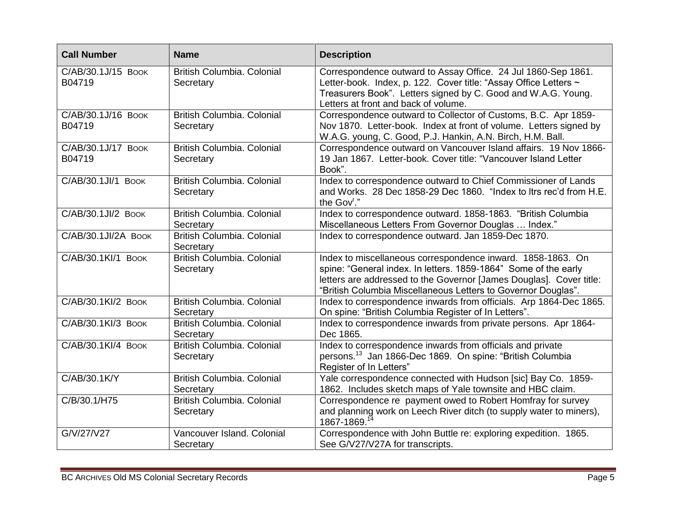| <b>Call Number</b>           | <b>Name</b>                             | <b>Description</b>                                                                                                                                                                                                                                                     |
|------------------------------|-----------------------------------------|------------------------------------------------------------------------------------------------------------------------------------------------------------------------------------------------------------------------------------------------------------------------|
| С/АВ/30.1J/15 Воок<br>B04719 | British Columbia. Colonial<br>Secretary | Correspondence outward to Assay Office. 24 Jul 1860-Sep 1861.<br>Letter-book. Index, p. 122. Cover title: "Assay Office Letters ~<br>Treasurers Book". Letters signed by C. Good and W.A.G. Young.<br>Letters at front and back of volume.                             |
| C/AB/30.1J/16 BOOK<br>B04719 | British Columbia. Colonial<br>Secretary | Correspondence outward to Collector of Customs, B.C. Apr 1859-<br>Nov 1870. Letter-book. Index at front of volume. Letters signed by<br>W.A.G. young, C. Good, P.J. Hankin, A.N. Birch, H.M. Ball.                                                                     |
| С/АВ/30.1J/17 Воок<br>B04719 | British Columbia. Colonial<br>Secretary | Correspondence outward on Vancouver Island affairs. 19 Nov 1866-<br>19 Jan 1867. Letter-book. Cover title: "Vancouver Island Letter<br>Book".                                                                                                                          |
| С/АВ/30.1 JI/1 Воок          | British Columbia. Colonial<br>Secretary | Index to correspondence outward to Chief Commissioner of Lands<br>and Works. 28 Dec 1858-29 Dec 1860. "Index to Itrs rec'd from H.E.<br>the Gov <sup>r</sup> ."                                                                                                        |
| C/AB/30.1JI/2 BOOK           | British Columbia. Colonial<br>Secretary | Index to correspondence outward. 1858-1863. "British Columbia<br>Miscellaneous Letters From Governor Douglas  Index."                                                                                                                                                  |
| C/AB/30.1JI/2A BOOK          | British Columbia. Colonial<br>Secretary | Index to correspondence outward. Jan 1859-Dec 1870.                                                                                                                                                                                                                    |
| С/АВ/30.1КІ/1 ВООК           | British Columbia. Colonial<br>Secretary | Index to miscellaneous correspondence inward. 1858-1863. On<br>spine: "General index. In letters. 1859-1864" Some of the early<br>letters are addressed to the Governor [James Douglas]. Cover title:<br>"British Columbia Miscellaneous Letters to Governor Douglas". |
| С/АВ/30.1Кl/2 Воок           | British Columbia. Colonial<br>Secretary | Index to correspondence inwards from officials. Arp 1864-Dec 1865.<br>On spine: "British Columbia Register of In Letters".                                                                                                                                             |
| С/АВ/30.1КІ/3 Воок           | British Columbia. Colonial<br>Secretary | Index to correspondence inwards from private persons. Apr 1864-<br>Dec 1865.                                                                                                                                                                                           |
| C/AB/30.1KI/4 BOOK           | British Columbia, Colonial<br>Secretary | Index to correspondence inwards from officials and private<br>persons. <sup>13</sup> Jan 1866-Dec 1869. On spine: "British Columbia<br>Register of In Letters"                                                                                                         |
| C/AB/30.1K/Y                 | British Columbia, Colonial<br>Secretary | Yale correspondence connected with Hudson [sic] Bay Co. 1859-<br>1862. Includes sketch maps of Yale townsite and HBC claim.                                                                                                                                            |
| C/B/30.1/H75                 | British Columbia. Colonial<br>Secretary | Correspondence re payment owed to Robert Homfray for survey<br>and planning work on Leech River ditch (to supply water to miners),<br>1867-1869.14                                                                                                                     |
| G/V/27/V27                   | Vancouver Island. Colonial<br>Secretary | Correspondence with John Buttle re: exploring expedition. 1865.<br>See G/V27/V27A for transcripts.                                                                                                                                                                     |